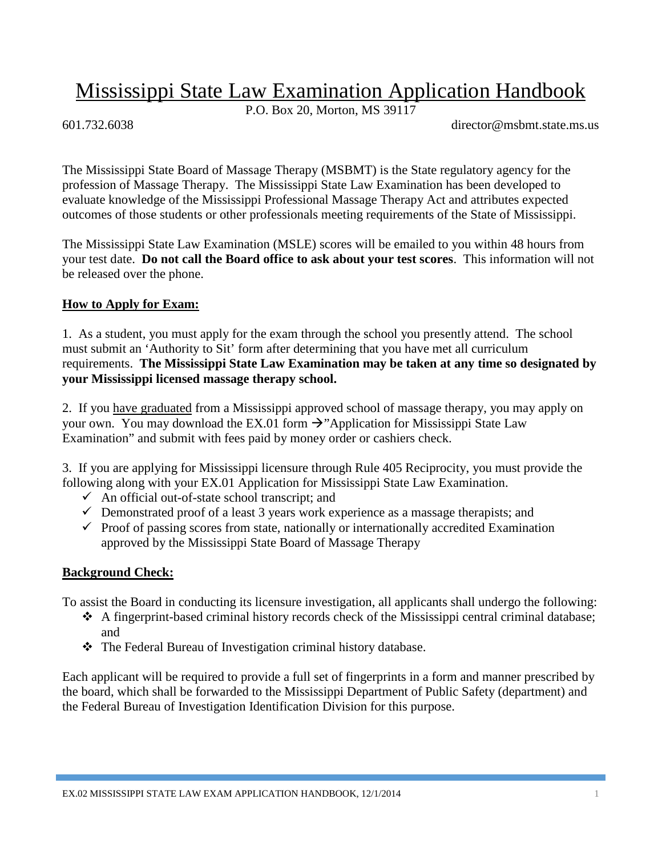# Mississippi State Law Examination Application Handbook

P.O. Box 20, Morton, MS 39117

601.732.6038 director@msbmt.state.ms.us

The Mississippi State Board of Massage Therapy (MSBMT) is the State regulatory agency for the profession of Massage Therapy. The Mississippi State Law Examination has been developed to evaluate knowledge of the Mississippi Professional Massage Therapy Act and attributes expected outcomes of those students or other professionals meeting requirements of the State of Mississippi.

The Mississippi State Law Examination (MSLE) scores will be emailed to you within 48 hours from your test date. **Do not call the Board office to ask about your test scores**. This information will not be released over the phone.

### **How to Apply for Exam:**

1. As a student, you must apply for the exam through the school you presently attend. The school must submit an 'Authority to Sit' form after determining that you have met all curriculum requirements. **The Mississippi State Law Examination may be taken at any time so designated by your Mississippi licensed massage therapy school.**

2. If you have graduated from a Mississippi approved school of massage therapy, you may apply on your own. You may download the EX.01 form  $\rightarrow$  "Application for Mississippi State Law Examination" and submit with fees paid by money order or cashiers check.

3. If you are applying for Mississippi licensure through Rule 405 Reciprocity, you must provide the following along with your EX.01 Application for Mississippi State Law Examination.

- $\checkmark$  An official out-of-state school transcript; and
- $\checkmark$  Demonstrated proof of a least 3 years work experience as a massage therapists; and
- $\checkmark$  Proof of passing scores from state, nationally or internationally accredited Examination approved by the Mississippi State Board of Massage Therapy

### **Background Check:**

To assist the Board in conducting its licensure investigation, all applicants shall undergo the following:

- $\triangle$  A fingerprint-based criminal history records check of the Mississippi central criminal database; and
- \* The Federal Bureau of Investigation criminal history database.

Each applicant will be required to provide a full set of fingerprints in a form and manner prescribed by the board, which shall be forwarded to the Mississippi Department of Public Safety (department) and the Federal Bureau of Investigation Identification Division for this purpose.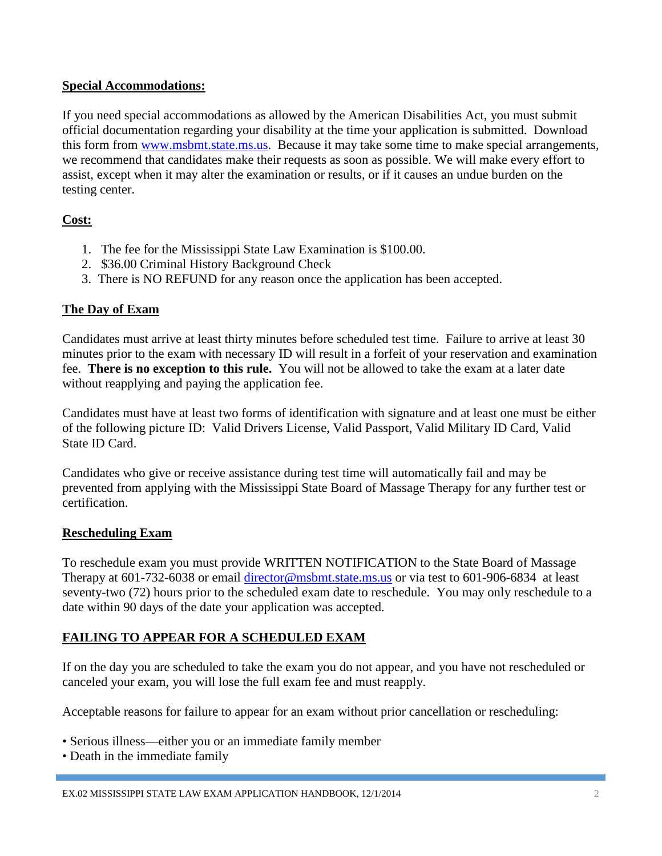#### **Special Accommodations:**

If you need special accommodations as allowed by the American Disabilities Act, you must submit official documentation regarding your disability at the time your application is submitted. Download this form from [www.msbmt.state.ms.us.](http://www.msbmt.state.ms.us/) Because it may take some time to make special arrangements, we recommend that candidates make their requests as soon as possible. We will make every effort to assist, except when it may alter the examination or results, or if it causes an undue burden on the testing center.

### **Cost:**

- 1. The fee for the Mississippi State Law Examination is \$100.00.
- 2. \$36.00 Criminal History Background Check
- 3. There is NO REFUND for any reason once the application has been accepted.

## **The Day of Exam**

Candidates must arrive at least thirty minutes before scheduled test time. Failure to arrive at least 30 minutes prior to the exam with necessary ID will result in a forfeit of your reservation and examination fee. **There is no exception to this rule.** You will not be allowed to take the exam at a later date without reapplying and paying the application fee.

Candidates must have at least two forms of identification with signature and at least one must be either of the following picture ID: Valid Drivers License, Valid Passport, Valid Military ID Card, Valid State ID Card.

Candidates who give or receive assistance during test time will automatically fail and may be prevented from applying with the Mississippi State Board of Massage Therapy for any further test or certification.

### **Rescheduling Exam**

To reschedule exam you must provide WRITTEN NOTIFICATION to the State Board of Massage Therapy at 601-732-6038 or email [director@msbmt.state.ms.us](mailto:director@msbmt.state.ms.us) or via test to 601-906-6834 at least seventy-two (72) hours prior to the scheduled exam date to reschedule. You may only reschedule to a date within 90 days of the date your application was accepted.

# **FAILING TO APPEAR FOR A SCHEDULED EXAM**

If on the day you are scheduled to take the exam you do not appear, and you have not rescheduled or canceled your exam, you will lose the full exam fee and must reapply.

Acceptable reasons for failure to appear for an exam without prior cancellation or rescheduling:

- Serious illness—either you or an immediate family member
- Death in the immediate family